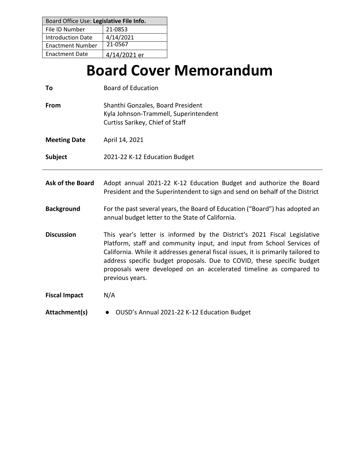| Board Office Use: Legislative File Info. |              |  |
|------------------------------------------|--------------|--|
| File ID Number                           | 21-0853      |  |
| <b>Introduction Date</b>                 | 4/14/2021    |  |
| <b>Enactment Number</b>                  | 21-0567      |  |
| <b>Enactment Date</b>                    | 4/14/2021 er |  |

# **Board Cover Memorandum**

| To                      | <b>Board of Education</b>                                                                                                                                                                                                                                                                                                                                                                                  |
|-------------------------|------------------------------------------------------------------------------------------------------------------------------------------------------------------------------------------------------------------------------------------------------------------------------------------------------------------------------------------------------------------------------------------------------------|
| From                    | Shanthi Gonzales, Board President<br>Kyla Johnson-Trammell, Superintendent<br>Curtiss Sarikey, Chief of Staff                                                                                                                                                                                                                                                                                              |
| <b>Meeting Date</b>     | April 14, 2021                                                                                                                                                                                                                                                                                                                                                                                             |
| Subject                 | 2021-22 K-12 Education Budget                                                                                                                                                                                                                                                                                                                                                                              |
| <b>Ask of the Board</b> | Adopt annual 2021-22 K-12 Education Budget and authorize the Board<br>President and the Superintendent to sign and send on behalf of the District                                                                                                                                                                                                                                                          |
| <b>Background</b>       | For the past several years, the Board of Education ("Board") has adopted an<br>annual budget letter to the State of California.                                                                                                                                                                                                                                                                            |
| <b>Discussion</b>       | This year's letter is informed by the District's 2021 Fiscal Legislative<br>Platform, staff and community input, and input from School Services of<br>California. While it addresses general fiscal issues, it is primarily tailored to<br>address specific budget proposals. Due to COVID, these specific budget<br>proposals were developed on an accelerated timeline as compared to<br>previous years. |
| <b>Fiscal Impact</b>    | N/A                                                                                                                                                                                                                                                                                                                                                                                                        |
| Attachment(s)           | OUSD's Annual 2021-22 K-12 Education Budget<br>$\bullet$                                                                                                                                                                                                                                                                                                                                                   |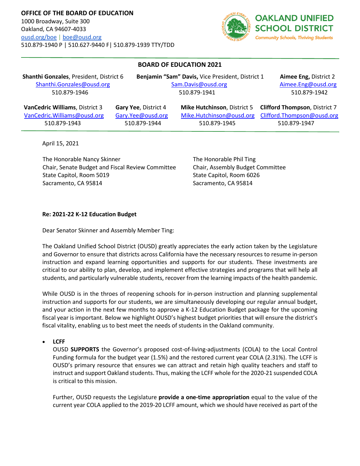

## **BOARD OF EDUCATION 2021**

**Shanthi Gonzales**, President, District 6 **Benjamin "Sam" Davis,** Vice President, District 1 **Aimee Eng,** District 2 Shanthi.Gonzales@ousd.orgSam.Davis@ousd.org Aimee.Eng@ousd.org 510.879-1946 510.879-1941 510.879-1942

 **VanCedric Williams**, District 3 **Gary Yee**, District 4 **Mike Hutchinson**, District 5 **Clifford Thompson**, District 7 VanCedric.Williams@ousd.org Gary.Yee@ousd.org Mike.Hutchinson@ousd.org Clifford.Thompson@ousd.org

510.879-1943 510.879-1944 510.879-1945 510.879-1947

April 15, 2021

The Honorable Nancy Skinner Chair, Senate Budget and Fiscal Review Committee State Capitol, Room 5019 Sacramento, CA 95814

The Honorable Phil Ting Chair, Assembly Budget Committee State Capitol, Room 6026 Sacramento, CA 95814

#### **Re: 2021-22 K-12 Education Budget**

Dear Senator Skinner and Assembly Member Ting:

The Oakland Unified School District (OUSD) greatly appreciates the early action taken by the Legislature and Governor to ensure that districts across California have the necessary resources to resume in-person instruction and expand learning opportunities and supports for our students. These investments are critical to our ability to plan, develop, and implement effective strategies and programs that will help all students, and particularly vulnerable students, recover from the learning impacts of the health pandemic.

While OUSD is in the throes of reopening schools for in-person instruction and planning supplemental instruction and supports for our students, we are simultaneously developing our regular annual budget, and your action in the next few months to approve a K-12 Education Budget package for the upcoming fiscal year is important. Below we highlight OUSD's highest budget priorities that will ensure the district's fiscal vitality, enabling us to best meet the needs of students in the Oakland community.

• **LCFF**

OUSD **SUPPORTS** the Governor's proposed cost-of-living-adjustments (COLA) to the Local Control Funding formula for the budget year (1.5%) and the restored current year COLA (2.31%). The LCFF is OUSD's primary resource that ensures we can attract and retain high quality teachers and staff to instruct and support Oakland students. Thus, making the LCFF whole for the 2020-21 suspended COLA is critical to this mission.

Further, OUSD requests the Legislature **provide a one-time appropriation** equal to the value of the current year COLA applied to the 2019-20 LCFF amount, which we should have received as part of the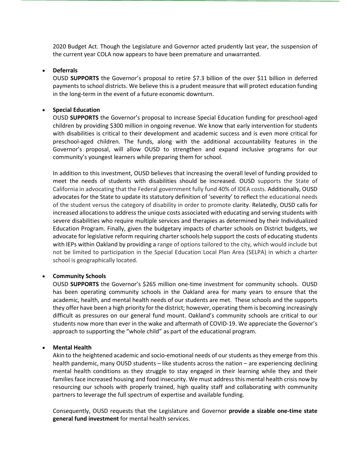2020 Budget Act. Though the Legislature and Governor acted prudently last year, the suspension of the current year COLA now appears to have been premature and unwarranted.

#### • **Deferrals**

OUSD **SUPPORTS** the Governor's proposal to retire \$7.3 billion of the over \$11 billion in deferred payments to school districts. We believe this is a prudent measure that will protect education funding in the long-term in the event of a future economic downturn.

#### • **Special Education**

OUSD **SUPPORTS** the Governor's proposal to increase Special Education funding for preschool-aged children by providing \$300 million in ongoing revenue. We know that early intervention for students with disabilities is critical to their development and academic success and is even more critical for preschool-aged children. The funds, along with the additional accountability features in the Governor's proposal, will allow OUSD to strengthen and expand inclusive programs for our community's youngest learners while preparing them for school.

In addition to this investment, OUSD believes that increasing the overall level of funding provided to meet the needs of students with disabilities should be increased. OUSD supports the State of California in advocating that the Federal government fully fund 40% of IDEA costs. Additionally, OUSD advocates for the State to update its statutory definition of 'severity' to reflect the educational needs of the student versus the category of disability in order to promote clarity. Relatedly, OUSD calls for increased allocations to address the unique costs associated with educating and serving students with severe disabilities who require multiple services and therapies as determined by their Individualized Education Program. Finally, given the budgetary impacts of charter schools on District budgets, we advocate for legislative reform requiring charter schools help support the costs of educating students with IEPs within Oakland by providing a range of options tailored to the city, which would include but not be limited to participation in the Special Education Local Plan Area (SELPA) in which a charter school is geographically located.

## • **Community Schools**

OUSD **SUPPORTS** the Governor's \$265 million one-time investment for community schools. OUSD has been operating community schools in the Oakland area for many years to ensure that the academic, health, and mental health needs of our students are met. These schools and the supports they offer have been a high priority for the district; however, operating them is becoming increasingly difficult as pressures on our general fund mount. Oakland's community schools are critical to our students now more than ever in the wake and aftermath of COVID-19. We appreciate the Governor's approach to supporting the "whole child" as part of the educational program.

## • **Mental Health**

Akin to the heightened academic and socio-emotional needs of our students as they emerge from this health pandemic, many OUSD students – like students across the nation – are experiencing declining mental health conditions as they struggle to stay engaged in their learning while they and their families face increased housing and food insecurity. We must address this mental health crisis now by resourcing our schools with properly trained, high quality staff and collaborating with community partners to leverage the full spectrum of expertise and available funding.

Consequently, OUSD requests that the Legislature and Governor **provide a sizable one-time state general fund investment** for mental health services.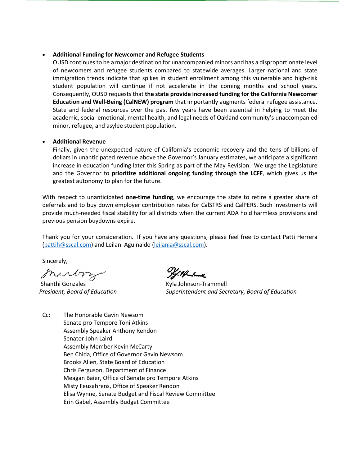#### • **Additional Funding for Newcomer and Refugee Students**

OUSD continues to be a major destination for unaccompanied minors and has a disproportionate level of newcomers and refugee students compared to statewide averages. Larger national and state immigration trends indicate that spikes in student enrollment among this vulnerable and high-risk student population will continue if not accelerate in the coming months and school years. Consequently, OUSD requests that **the state provide increased funding for the California Newcomer Education and Well-Being (CalNEW) program** that importantly augments federal refugee assistance. State and federal resources over the past few years have been essential in helping to meet the academic, social-emotional, mental health, and legal needs of Oakland community's unaccompanied minor, refugee, and asylee student population.

#### • **Additional Revenue**

[Finally, given t](mailto:pattih@sscal.com)he unexpected natur[e of California's eco](mailto:leilania@sscal.com)nomic recovery and the tens of billions of dollars in unanticipated revenue above the Governor's January estimates, we anticipate a significant increase in education funding later this Spring as part of the May Revision. We urge the Legislature and the Governor to **prioritize additional ongoing funding through the LCFF**, which gives us the greatest autonomy to plan for the future.

With respect to unanticipated **one-time funding**, we encourage the state to retire a greater share of deferrals and to buy down employer contribution rates for CalSTRS and CalPERS. Such investments will provide much-needed fiscal stability for all districts when the current ADA hold harmless provisions and previous pension buydowns expire.

Thank you for your consideration. If you have any questions, please feel free to contact Patti Herrera (pattih@sscal.com) and Leilani Aguinaldo (leilania@sscal.com).

Sincerely,

granto

 Shanthi Gonzales  *President, Board of Education*

/ Pf-hall

Kyla Johnson-Trammell *Superintendent and Secretary, Board of Education*

Cc: The Honorable Gavin Newsom Senate pro Tempore Toni Atkins Assembly Speaker Anthony Rendon Senator John Laird Assembly Member Kevin McCarty Ben Chida, Office of Governor Gavin Newsom Brooks Allen, State Board of Education Chris Ferguson, Department of Finance Meagan Baier, Office of Senate pro Tempore Atkins Misty Feusahrens, Office of Speaker Rendon Elisa Wynne, Senate Budget and Fiscal Review Committee Erin Gabel, Assembly Budget Committee